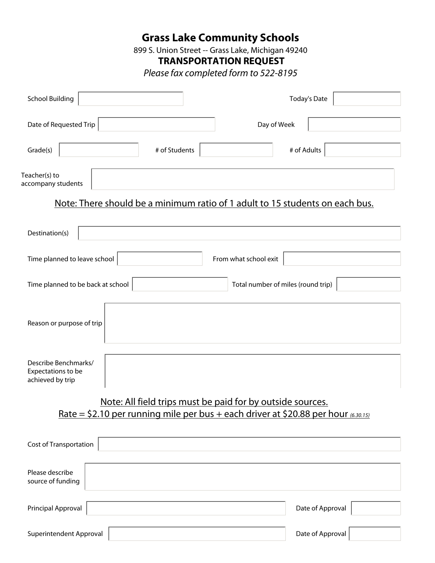### **Grass Lake Community Schools**

899 S. Union Street -- Grass Lake, Michigan 49240

**TRANSPORTATION REQUEST** 

*Please fax completed form to 522-8195*

| <b>School Building</b><br>$\blacktriangledown$                                                                                                                       | <b>Today's Date</b>                     |
|----------------------------------------------------------------------------------------------------------------------------------------------------------------------|-----------------------------------------|
| Date of Requested Trip                                                                                                                                               | Day of Week<br>$\vert \mathbf{v} \vert$ |
| # of Students<br>Grade(s)                                                                                                                                            | # of Adults                             |
| Teacher(s) to<br>accompany students                                                                                                                                  |                                         |
| Note: There should be a minimum ratio of 1 adult to 15 students on each bus.                                                                                         |                                         |
| Destination(s)                                                                                                                                                       |                                         |
| Time planned to leave school                                                                                                                                         | From what school exit                   |
| Time planned to be back at school                                                                                                                                    | Total number of miles (round trip)      |
| Reason or purpose of trip                                                                                                                                            |                                         |
| Describe Benchmarks/<br>Expectations to be<br>achieved by trip                                                                                                       |                                         |
| Note: All field trips must be paid for by outside sources.<br><u>Rate = \$2.10 per running mile per bus + each driver at \$20.88 per hour <math>(6.30.15)</math></u> |                                         |
| Cost of Transportation                                                                                                                                               |                                         |
| Please describe<br>source of funding                                                                                                                                 |                                         |
| Principal Approval                                                                                                                                                   | Date of Approval                        |
| Superintendent Approval                                                                                                                                              | Date of Approval                        |